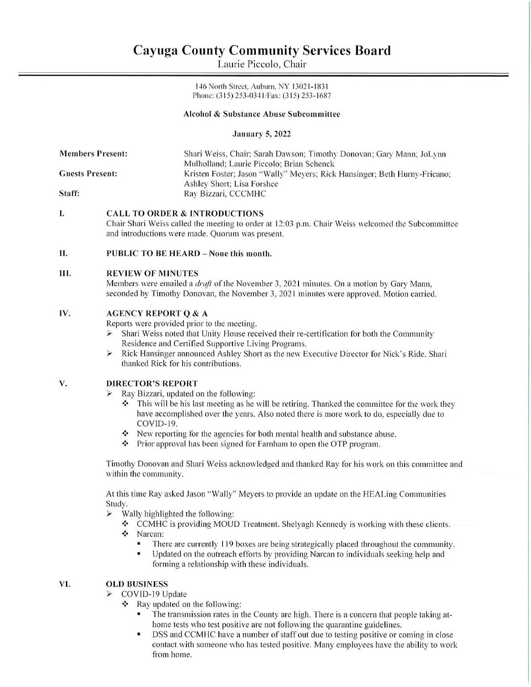# Cayuga County Community Services Board Cayuga County Comn<br>Laurie Picc Cayuga County Comn<br>Laurie Picc

Laurie Piccolo, Chair

146 North Street, Auburn, NY 13021-1831 Phone: (315) 253-0341/Fax: (315) 253-1687

## Alcohol & Substance Abuse Subcommittee

January 5, 2022

| <b>Members Present:</b> | Shari Weiss, Chair; Sarah Dawson; Timothy Donovan; Gary Mann; JoLynn      |
|-------------------------|---------------------------------------------------------------------------|
|                         | Mulholland: Laurie Piccolo: Brian Schenck                                 |
| <b>Guests Present:</b>  | Kristen Foster; Jason "Wally" Meyers; Rick Hansinger; Beth Hurny-Fricano; |
|                         | Ashley Short: Lisa Forshee                                                |
| Staff:                  | Ray Bizzari, CCCMHC                                                       |

### I. CALL TO ORDER & INTRODUCTIONS

Chair Shari Weiss called the meeting to order at 12:03 p.m. Chair Weiss welcomed the Subcommittee and introductions were made. Quorum was present.

### Il. PUBLIC TO BE HEARD — None this month.

### IH. REVIEW OF MINUTES

Members were emailed a *draft* of the November 3, 2021 minutes. On a motion by Gary Mann, seconded by Timothy Donovan, the November 3, 2021 minutes were approved. Motion carried.

### Iv. AGENCY REPORT Q&A

Reports were provided prior to the meeting.

- Shari Weiss noted that Unity House received their re-certification for both the Community Residence and Certified Supportive Living Programs.
- >» Rick Hansinger announced Ashley Short as the new Executive Director for Nick's Ride. Shari thanked Rick for his contributions.

### V. DIRECTOR'S REPORT

- > Ray Bizzari, updated on the following:
	- This will be his last meeting as he will be retiring. Thanked the committee for the work they have accomplished over the years. Also noted there is more work to do, especially due to COVID-19.
	- New reporting for the agencies for both mental health and substance abuse.  $\ddot{\phi}$
	- Prior approval has been signed for Farnham to open the OTP program.

Timothy Donovan and Shari Weiss acknowledged and thanked Ray for his work on this committee and within the community.

At this time Ray asked Jason "Wally" Meyers to provide an update on the HEALing Communities Study.

- Wally highlighted the following:
	- \* CCMHC is providing MOUD Treatment. Shelyagh Kennedy is working with these clients. "Narcan:
	- - There are currently 119 boxes are being strategically placed throughout the community.
		- = Updated on the outreach efforts by providing Narcan to individuals seeking help and forming a relationship with these individuals.

### Vi. OLD BUSINESS

- COVID-19 Update
	- $\cdot \cdot$  Ray updated on the following:
		- The transmission rates in the County are high. There is a concern that people taking athome tests who test positive are not following the quarantine guidelines.
		- = DSS and CCMHC have a number of staff out due to testing positive or coming in close contact with someone who has tested positive. Many employees have the ability to work from home.